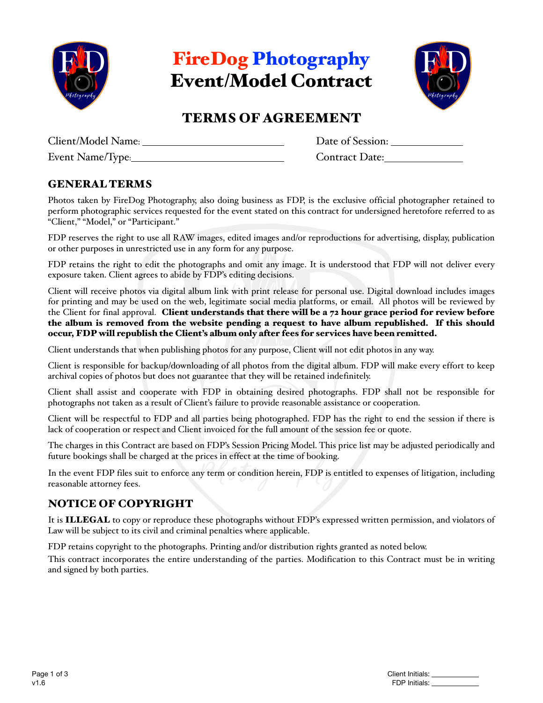

FireDog Photography Event/Model Contract



# TERMS OF AGREEMENT

| Client/Model Name: |  |
|--------------------|--|
| Event Name/Tyne.   |  |

Date of Session: Event Name/Type: Contract Date:

### GENERAL TERMS

Photos taken by FireDog Photography, also doing business as FDP, is the exclusive official photographer retained to perform photographic services requested for the event stated on this contract for undersigned heretofore referred to as "Client," "Model," or "Participant."

FDP reserves the right to use all RAW images, edited images and/or reproductions for advertising, display, publication or other purposes in unrestricted use in any form for any purpose.

FDP retains the right to edit the photographs and omit any image. It is understood that FDP will not deliver every exposure taken. Client agrees to abide by FDP's editing decisions.

Client will receive photos via digital album link with print release for personal use. Digital download includes images for printing and may be used on the web, legitimate social media platforms, or email. All photos will be reviewed by the Client for final approval. Client understands that there will be a 72 hour grace period for review before the album is removed from the website pending a request to have album republished. If this should occur, FDP will republish the Client's album only after fees for services have been remitted.

Client understands that when publishing photos for any purpose, Client will not edit photos in any way.

Client is responsible for backup/downloading of all photos from the digital album. FDP will make every effort to keep archival copies of photos but does not guarantee that they will be retained indefinitely.

Client shall assist and cooperate with FDP in obtaining desired photographs. FDP shall not be responsible for photographs not taken as a result of Client's failure to provide reasonable assistance or cooperation.

Client will be respectful to FDP and all parties being photographed. FDP has the right to end the session if there is lack of cooperation or respect and Client invoiced for the full amount of the session fee or quote.

The charges in this Contract are based on FDP's Session Pricing Model. This price list may be adjusted periodically and future bookings shall be charged at the prices in effect at the time of booking.

In the event FDP files suit to enforce any term or condition herein, FDP is entitled to expenses of litigation, including reasonable attorney fees.

### NOTICE OF COPYRIGHT

It is ILLEGAL to copy or reproduce these photographs without FDP's expressed written permission, and violators of Law will be subject to its civil and criminal penalties where applicable.

FDP retains copyright to the photographs. Printing and/or distribution rights granted as noted below.

This contract incorporates the entire understanding of the parties. Modification to this Contract must be in writing and signed by both parties.

| Page 1 of 3 | Client Initials: |
|-------------|------------------|
| v1.6        | FDP Initials:    |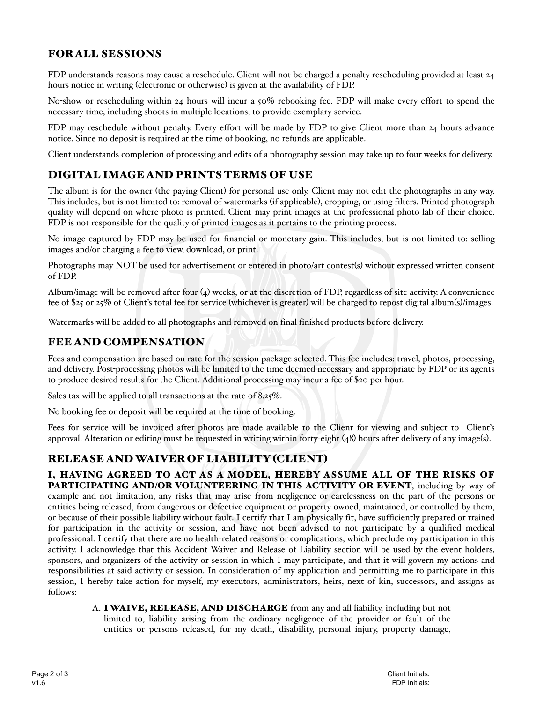## FOR ALL SESSIONS

FDP understands reasons may cause a reschedule. Client will not be charged a penalty rescheduling provided at least 24 hours notice in writing (electronic or otherwise) is given at the availability of FDP.

No-show or rescheduling within 24 hours will incur a 50% rebooking fee. FDP will make every effort to spend the necessary time, including shoots in multiple locations, to provide exemplary service.

FDP may reschedule without penalty. Every effort will be made by FDP to give Client more than 24 hours advance notice. Since no deposit is required at the time of booking, no refunds are applicable.

Client understands completion of processing and edits of a photography session may take up to four weeks for delivery.

### DIGITAL IMAGE AND PRINTS TERMS OF USE

The album is for the owner (the paying Client) for personal use only. Client may not edit the photographs in any way. This includes, but is not limited to: removal of watermarks (if applicable), cropping, or using filters. Printed photograph quality will depend on where photo is printed. Client may print images at the professional photo lab of their choice. FDP is not responsible for the quality of printed images as it pertains to the printing process.

No image captured by FDP may be used for financial or monetary gain. This includes, but is not limited to: selling images and/or charging a fee to view, download, or print.

Photographs may NOT be used for advertisement or entered in photo/art contest(s) without expressed written consent of FDP.

Album/image will be removed after four (4) weeks, or at the discretion of FDP, regardless of site activity. A convenience fee of \$25 or 25% of Client's total fee for service (whichever is greater) will be charged to repost digital album(s)/images.

Watermarks will be added to all photographs and removed on final finished products before delivery.

#### FEE AND COMPENSATION

Fees and compensation are based on rate for the session package selected. This fee includes: travel, photos, processing, and delivery. Post-processing photos will be limited to the time deemed necessary and appropriate by FDP or its agents to produce desired results for the Client. Additional processing may incur a fee of \$20 per hour.

Sales tax will be applied to all transactions at the rate of 8.25%.

No booking fee or deposit will be required at the time of booking.

Fees for service will be invoiced after photos are made available to the Client for viewing and subject to Client's approval. Alteration or editing must be requested in writing within forty-eight (48) hours after delivery of any image(s).

### RELEASE AND WAIVER OF LIABILITY (CLIENT)

I, HAVING AGREED TO ACT AS A MODEL, HEREBY ASSUME ALL OF THE RISKS OF PARTICIPATING AND/OR VOLUNTEERING IN THIS ACTIVITY OR EVENT, including by way of example and not limitation, any risks that may arise from negligence or carelessness on the part of the persons or entities being released, from dangerous or defective equipment or property owned, maintained, or controlled by them, or because of their possible liability without fault. I certify that I am physically fit, have sufficiently prepared or trained for participation in the activity or session, and have not been advised to not participate by a qualified medical professional. I certify that there are no health-related reasons or complications, which preclude my participation in this activity. I acknowledge that this Accident Waiver and Release of Liability section will be used by the event holders, sponsors, and organizers of the activity or session in which I may participate, and that it will govern my actions and responsibilities at said activity or session. In consideration of my application and permitting me to participate in this session, I hereby take action for myself, my executors, administrators, heirs, next of kin, successors, and assigns as follows:

A. I WAIVE, RELEASE, AND DISCHARGE from any and all liability, including but not limited to, liability arising from the ordinary negligence of the provider or fault of the entities or persons released, for my death, disability, personal injury, property damage,